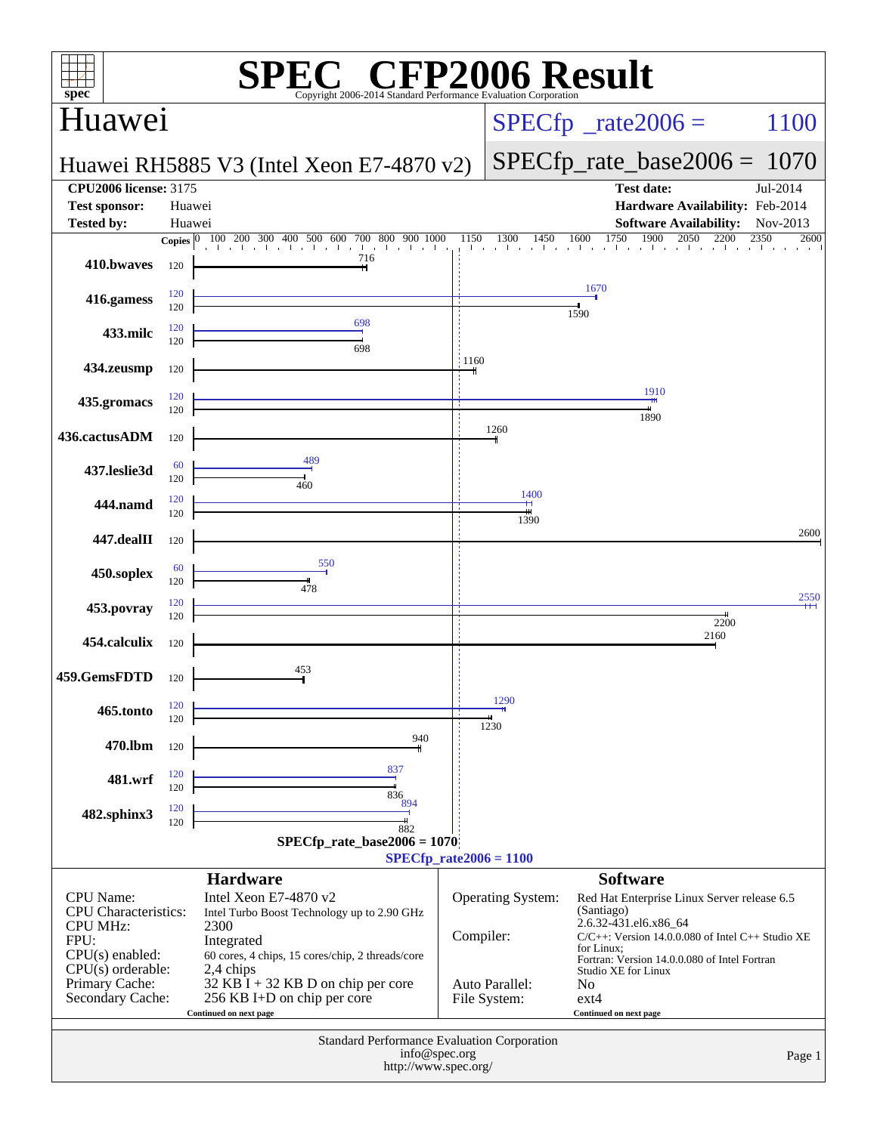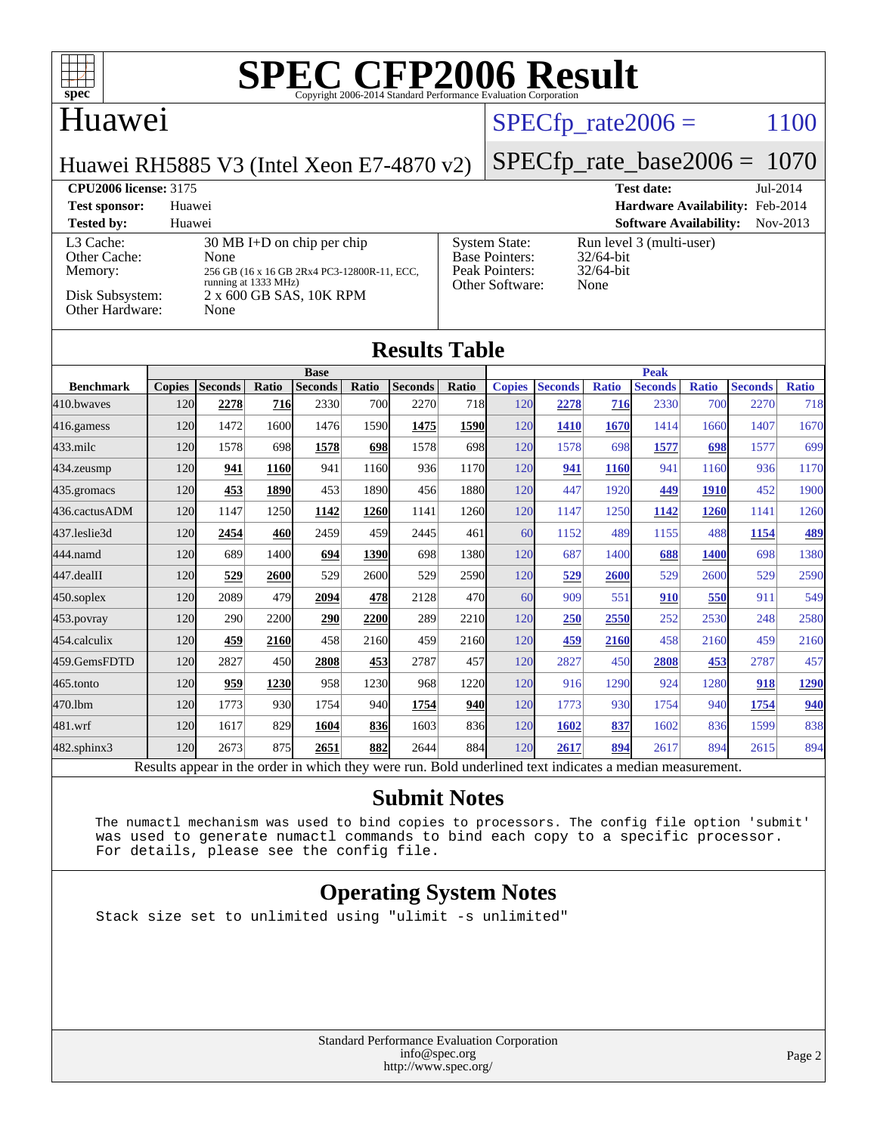

#### Huawei

#### $SPECTp\_rate2006 = 1100$

[System State:](http://www.spec.org/auto/cpu2006/Docs/result-fields.html#SystemState) Run level 3 (multi-user)<br>Base Pointers: 32/64-bit

[Base Pointers:](http://www.spec.org/auto/cpu2006/Docs/result-fields.html#BasePointers)

Huawei RH5885 V3 (Intel Xeon E7-4870 v2)

#### [SPECfp\\_rate\\_base2006 =](http://www.spec.org/auto/cpu2006/Docs/result-fields.html#SPECfpratebase2006) 1070

**[CPU2006 license:](http://www.spec.org/auto/cpu2006/Docs/result-fields.html#CPU2006license)** 3175 **[Test date:](http://www.spec.org/auto/cpu2006/Docs/result-fields.html#Testdate)** Jul-2014 **[Test sponsor:](http://www.spec.org/auto/cpu2006/Docs/result-fields.html#Testsponsor)** Huawei **[Hardware Availability:](http://www.spec.org/auto/cpu2006/Docs/result-fields.html#HardwareAvailability)** Feb-2014

#### **[Tested by:](http://www.spec.org/auto/cpu2006/Docs/result-fields.html#Testedby)** Huawei **[Software Availability:](http://www.spec.org/auto/cpu2006/Docs/result-fields.html#SoftwareAvailability)** Nov-2013 [L3 Cache:](http://www.spec.org/auto/cpu2006/Docs/result-fields.html#L3Cache) 30 MB I+D on chip per chip<br>Other Cache: None [Other Cache:](http://www.spec.org/auto/cpu2006/Docs/result-fields.html#OtherCache) [Memory:](http://www.spec.org/auto/cpu2006/Docs/result-fields.html#Memory) 256 GB (16 x 16 GB 2Rx4 PC3-12800R-11, ECC, running at 1333 MHz)

| Memory:<br>Disk Subsystem: | 256 GB (16 x 16 GB 2Rx4 PC3-12800R-11, ECC,<br>running at 1333 MHz)<br>2 x 600 GB SAS, 10K RPM |                |       |                |            |                      | $32/64$ -bit<br>Peak Pointers:<br>Other Software:<br>None |               |                |              |                |              |                |              |
|----------------------------|------------------------------------------------------------------------------------------------|----------------|-------|----------------|------------|----------------------|-----------------------------------------------------------|---------------|----------------|--------------|----------------|--------------|----------------|--------------|
| Other Hardware:            |                                                                                                | None           |       |                |            |                      |                                                           |               |                |              |                |              |                |              |
|                            |                                                                                                |                |       |                |            | <b>Results Table</b> |                                                           |               |                |              |                |              |                |              |
|                            |                                                                                                |                |       | <b>Base</b>    |            |                      |                                                           |               |                |              | <b>Peak</b>    |              |                |              |
| <b>Benchmark</b>           | <b>Copies</b>                                                                                  | <b>Seconds</b> | Ratio | <b>Seconds</b> | Ratio      | <b>Seconds</b>       | Ratio                                                     | <b>Copies</b> | <b>Seconds</b> | <b>Ratio</b> | <b>Seconds</b> | <b>Ratio</b> | <b>Seconds</b> | <b>Ratio</b> |
| 410.bwayes                 | 120                                                                                            | 2278           | 716   | 2330           | <b>700</b> | 2270                 | 718                                                       | 120           | 2278           | 716          | 2330           | 700          | 2270           | 718          |
| 416.gamess                 | 120                                                                                            | 1472           | 1600  | 1476           | 1590       | 1475                 | 1590                                                      | 120           | <b>1410</b>    | 1670         | 1414           | 1660         | 1407           | 1670         |
| 433.milc                   | 120                                                                                            | 1578           | 698   | 1578           | 698        | 1578                 | 698                                                       | 120           | 1578           | 698          | 1577           | 698          | 1577           | 699          |
| 434.zeusmp                 | 120                                                                                            | 941            | 1160  | 941            | 1160       | 936                  | 1170                                                      | 120           | 941            | <b>1160</b>  | 941            | 1160         | 936            | 1170         |
| 435.gromacs                | 120                                                                                            | 453            | 1890  | 453            | 1890       | 456                  | 1880                                                      | 120           | 447            | 1920         | 449            | <b>1910</b>  | 452            | 1900         |
| 436.cactusADM              | 120                                                                                            | 1147           | 1250  | 1142           | 1260       | 1141                 | 1260                                                      | 120           | 1147           | 1250         | 1142           | 1260         | 1141           | 1260         |
| 437.leslie3d               | 120                                                                                            | 2454           | 460   | 2459           | 459        | 2445                 | 461                                                       | 60            | 1152           | 489          | 1155           | 488          | 1154           | 489          |
| 444.namd                   | 120                                                                                            | 689            | 1400  | 694            | 1390       | 698                  | 1380                                                      | 120           | 687            | 1400         | 688            | <b>1400</b>  | 698            | 1380         |
| 447.dealII                 | 120                                                                                            | 529            | 2600  | 529            | 2600       | 529                  | 2590                                                      | 120           | 529            | 2600         | 529            | 2600         | 529            | 2590         |
| 450.soplex                 | 120                                                                                            | 2089           | 479   | 2094           | 478        | 2128                 | 470                                                       | 60            | 909            | 551          | 910            | 550          | 911            | 549          |
| 453.povray                 | 120                                                                                            | 290            | 2200  | 290            | 2200       | 289                  | 2210                                                      | 120           | 250            | 2550         | 252            | 2530         | 248            | 2580         |
| 454.calculix               | 120                                                                                            | 459            | 2160  | 458            | 2160       | 459                  | 2160                                                      | 120           | 459            | 2160         | 458            | 2160         | 459            | 2160         |
| 459.GemsFDTD               | 120                                                                                            | 2827           | 450   | 2808           | 453        | 2787                 | 457                                                       | 120           | 2827           | 450          | 2808           | 453          | 2787           | 457          |
| 465.tonto                  | 120                                                                                            | 959            | 1230  | 958            | 1230       | 968                  | 1220                                                      | 120           | 916            | 1290         | 924            | 1280         | 918            | 1290         |
| 470.1bm                    | 120                                                                                            | 1773           | 930   | 1754           | 940        | 1754                 | <b>940</b>                                                | 120           | 1773           | 930          | 1754           | 940          | 1754           | 940          |
| 481.wrf                    | 120                                                                                            | 1617           | 829   | 1604           | 836        | 1603                 | 836                                                       | 120           | 1602           | 837          | 1602           | 836          | 1599           | 838          |
| 482.sphinx3                | 120                                                                                            | 2673           | 875   | 2651           | 882        | 2644                 | 884                                                       | <b>120</b>    | 2617           | 894          | 2617           | 894          | 2615           | 894          |

Results appear in the [order in which they were run.](http://www.spec.org/auto/cpu2006/Docs/result-fields.html#RunOrder) Bold underlined text [indicates a median measurement.](http://www.spec.org/auto/cpu2006/Docs/result-fields.html#Median)

#### **[Submit Notes](http://www.spec.org/auto/cpu2006/Docs/result-fields.html#SubmitNotes)**

 The numactl mechanism was used to bind copies to processors. The config file option 'submit' was used to generate numactl commands to bind each copy to a specific processor. For details, please see the config file.

#### **[Operating System Notes](http://www.spec.org/auto/cpu2006/Docs/result-fields.html#OperatingSystemNotes)**

Stack size set to unlimited using "ulimit -s unlimited"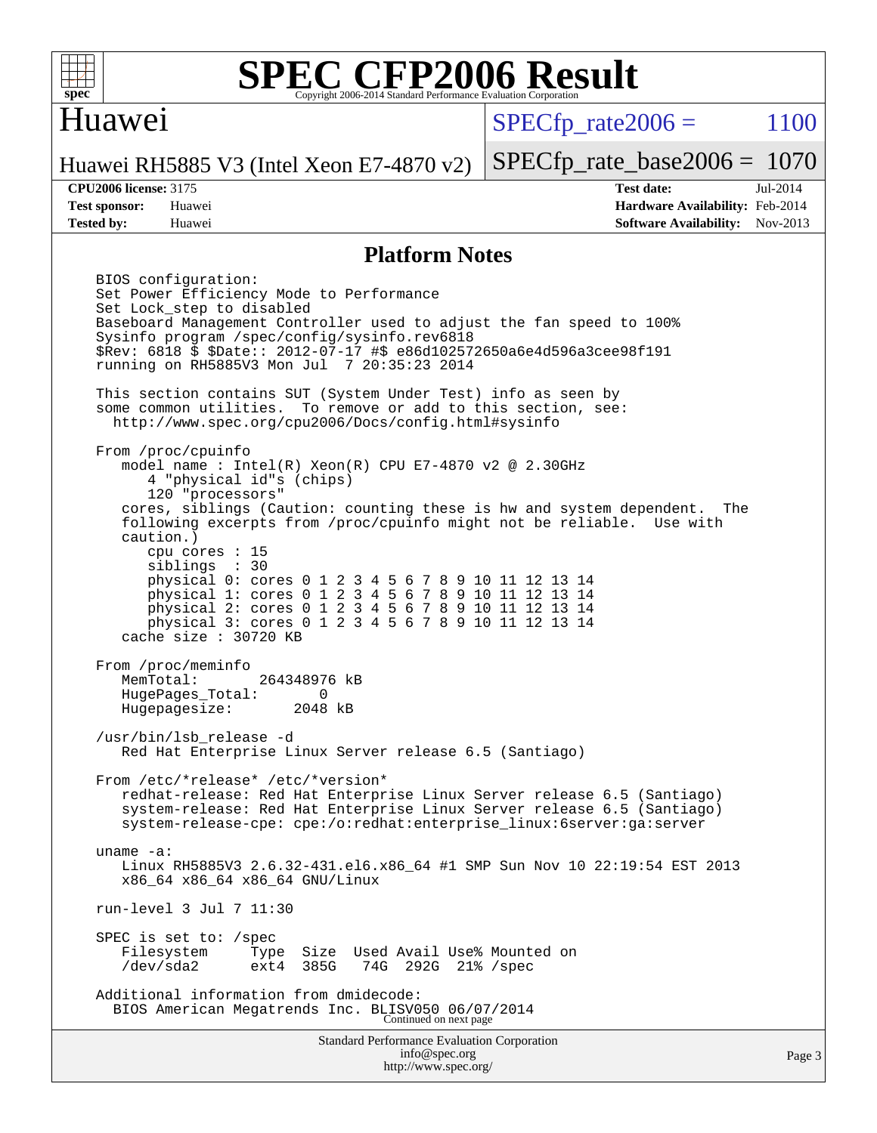

#### Huawei

 $SPECTp\_rate2006 = 1100$ 

Huawei RH5885 V3 (Intel Xeon E7-4870 v2)

**[Tested by:](http://www.spec.org/auto/cpu2006/Docs/result-fields.html#Testedby)** Huawei **[Software Availability:](http://www.spec.org/auto/cpu2006/Docs/result-fields.html#SoftwareAvailability)** Nov-2013

[SPECfp\\_rate\\_base2006 =](http://www.spec.org/auto/cpu2006/Docs/result-fields.html#SPECfpratebase2006) 1070 **[CPU2006 license:](http://www.spec.org/auto/cpu2006/Docs/result-fields.html#CPU2006license)** 3175 **[Test date:](http://www.spec.org/auto/cpu2006/Docs/result-fields.html#Testdate)** Jul-2014 **[Test sponsor:](http://www.spec.org/auto/cpu2006/Docs/result-fields.html#Testsponsor)** Huawei **[Hardware Availability:](http://www.spec.org/auto/cpu2006/Docs/result-fields.html#HardwareAvailability)** Feb-2014

#### **[Platform Notes](http://www.spec.org/auto/cpu2006/Docs/result-fields.html#PlatformNotes)**

Standard Performance Evaluation Corporation [info@spec.org](mailto:info@spec.org) BIOS configuration: Set Power Efficiency Mode to Performance Set Lock\_step to disabled Baseboard Management Controller used to adjust the fan speed to 100% Sysinfo program /spec/config/sysinfo.rev6818 \$Rev: 6818 \$ \$Date:: 2012-07-17 #\$ e86d102572650a6e4d596a3cee98f191 running on RH5885V3 Mon Jul 7 20:35:23 2014 This section contains SUT (System Under Test) info as seen by some common utilities. To remove or add to this section, see: <http://www.spec.org/cpu2006/Docs/config.html#sysinfo> From /proc/cpuinfo model name : Intel(R) Xeon(R) CPU E7-4870 v2 @ 2.30GHz 4 "physical id"s (chips) 120 "processors" cores, siblings (Caution: counting these is hw and system dependent. The following excerpts from /proc/cpuinfo might not be reliable. Use with caution.) cpu cores : 15 siblings : 30 physical 0: cores 0 1 2 3 4 5 6 7 8 9 10 11 12 13 14 physical 1: cores 0 1 2 3 4 5 6 7 8 9 10 11 12 13 14 physical 2: cores 0 1 2 3 4 5 6 7 8 9 10 11 12 13 14 physical 3: cores 0 1 2 3 4 5 6 7 8 9 10 11 12 13 14 cache size : 30720 KB From /proc/meminfo<br>MemTotal: 264348976 kB HugePages\_Total: 0 Hugepagesize: 2048 kB /usr/bin/lsb\_release -d Red Hat Enterprise Linux Server release 6.5 (Santiago) From /etc/\*release\* /etc/\*version\* redhat-release: Red Hat Enterprise Linux Server release 6.5 (Santiago) system-release: Red Hat Enterprise Linux Server release 6.5 (Santiago) system-release-cpe: cpe:/o:redhat:enterprise\_linux:6server:ga:server uname -a: Linux RH5885V3 2.6.32-431.el6.x86\_64 #1 SMP Sun Nov 10 22:19:54 EST 2013 x86\_64 x86\_64 x86\_64 GNU/Linux run-level 3 Jul 7 11:30 SPEC is set to: /spec<br>Filesystem Type Type Size Used Avail Use% Mounted on /dev/sda2 ext4 385G 74G 292G 21% /spec Additional information from dmidecode: BIOS American Megatrends Inc. BLISV050 06/07/2014 Continued on next page

<http://www.spec.org/>

Page 3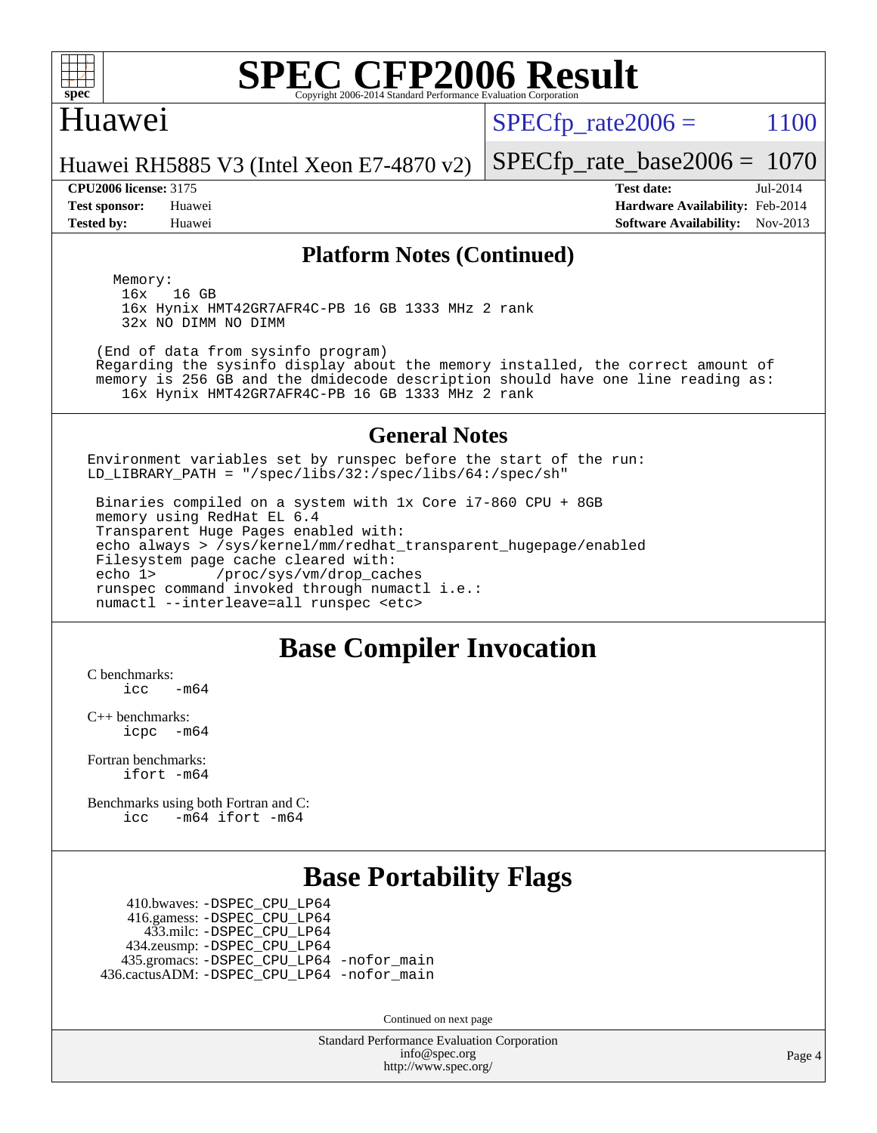

#### Huawei

 $SPECTp_rate2006 = 1100$ 

[SPECfp\\_rate\\_base2006 =](http://www.spec.org/auto/cpu2006/Docs/result-fields.html#SPECfpratebase2006) 1070

Huawei RH5885 V3 (Intel Xeon E7-4870 v2)

**[Tested by:](http://www.spec.org/auto/cpu2006/Docs/result-fields.html#Testedby)** Huawei **[Software Availability:](http://www.spec.org/auto/cpu2006/Docs/result-fields.html#SoftwareAvailability)** Nov-2013

**[CPU2006 license:](http://www.spec.org/auto/cpu2006/Docs/result-fields.html#CPU2006license)** 3175 **[Test date:](http://www.spec.org/auto/cpu2006/Docs/result-fields.html#Testdate)** Jul-2014 **[Test sponsor:](http://www.spec.org/auto/cpu2006/Docs/result-fields.html#Testsponsor)** Huawei **[Hardware Availability:](http://www.spec.org/auto/cpu2006/Docs/result-fields.html#HardwareAvailability)** Feb-2014

#### **[Platform Notes \(Continued\)](http://www.spec.org/auto/cpu2006/Docs/result-fields.html#PlatformNotes)**

Memory:<br>16x 16 GB 16x Hynix HMT42GR7AFR4C-PB 16 GB 1333 MHz 2 rank 32x NO DIMM NO DIMM

 (End of data from sysinfo program) Regarding the sysinfo display about the memory installed, the correct amount of memory is 256 GB and the dmidecode description should have one line reading as:

16x Hynix HMT42GR7AFR4C-PB 16 GB 1333 MHz 2 rank

#### **[General Notes](http://www.spec.org/auto/cpu2006/Docs/result-fields.html#GeneralNotes)**

Environment variables set by runspec before the start of the run: LD\_LIBRARY\_PATH = "/spec/libs/32:/spec/libs/64:/spec/sh"

 Binaries compiled on a system with 1x Core i7-860 CPU + 8GB memory using RedHat EL 6.4 Transparent Huge Pages enabled with: echo always > /sys/kernel/mm/redhat\_transparent\_hugepage/enabled Filesystem page cache cleared with: echo 1> /proc/sys/vm/drop\_caches runspec command invoked through numactl i.e.: numactl --interleave=all runspec <etc>

### **[Base Compiler Invocation](http://www.spec.org/auto/cpu2006/Docs/result-fields.html#BaseCompilerInvocation)**

[C benchmarks](http://www.spec.org/auto/cpu2006/Docs/result-fields.html#Cbenchmarks):  $\frac{1}{2}$ cc  $-\text{m64}$ 

[C++ benchmarks:](http://www.spec.org/auto/cpu2006/Docs/result-fields.html#CXXbenchmarks) [icpc -m64](http://www.spec.org/cpu2006/results/res2014q3/cpu2006-20140710-30384.flags.html#user_CXXbase_intel_icpc_64bit_bedb90c1146cab66620883ef4f41a67e)

[Fortran benchmarks](http://www.spec.org/auto/cpu2006/Docs/result-fields.html#Fortranbenchmarks): [ifort -m64](http://www.spec.org/cpu2006/results/res2014q3/cpu2006-20140710-30384.flags.html#user_FCbase_intel_ifort_64bit_ee9d0fb25645d0210d97eb0527dcc06e)

[Benchmarks using both Fortran and C](http://www.spec.org/auto/cpu2006/Docs/result-fields.html#BenchmarksusingbothFortranandC): [icc -m64](http://www.spec.org/cpu2006/results/res2014q3/cpu2006-20140710-30384.flags.html#user_CC_FCbase_intel_icc_64bit_0b7121f5ab7cfabee23d88897260401c) [ifort -m64](http://www.spec.org/cpu2006/results/res2014q3/cpu2006-20140710-30384.flags.html#user_CC_FCbase_intel_ifort_64bit_ee9d0fb25645d0210d97eb0527dcc06e)

### **[Base Portability Flags](http://www.spec.org/auto/cpu2006/Docs/result-fields.html#BasePortabilityFlags)**

 410.bwaves: [-DSPEC\\_CPU\\_LP64](http://www.spec.org/cpu2006/results/res2014q3/cpu2006-20140710-30384.flags.html#suite_basePORTABILITY410_bwaves_DSPEC_CPU_LP64) 416.gamess: [-DSPEC\\_CPU\\_LP64](http://www.spec.org/cpu2006/results/res2014q3/cpu2006-20140710-30384.flags.html#suite_basePORTABILITY416_gamess_DSPEC_CPU_LP64) 433.milc: [-DSPEC\\_CPU\\_LP64](http://www.spec.org/cpu2006/results/res2014q3/cpu2006-20140710-30384.flags.html#suite_basePORTABILITY433_milc_DSPEC_CPU_LP64) 434.zeusmp: [-DSPEC\\_CPU\\_LP64](http://www.spec.org/cpu2006/results/res2014q3/cpu2006-20140710-30384.flags.html#suite_basePORTABILITY434_zeusmp_DSPEC_CPU_LP64) 435.gromacs: [-DSPEC\\_CPU\\_LP64](http://www.spec.org/cpu2006/results/res2014q3/cpu2006-20140710-30384.flags.html#suite_basePORTABILITY435_gromacs_DSPEC_CPU_LP64) [-nofor\\_main](http://www.spec.org/cpu2006/results/res2014q3/cpu2006-20140710-30384.flags.html#user_baseLDPORTABILITY435_gromacs_f-nofor_main) 436.cactusADM: [-DSPEC\\_CPU\\_LP64](http://www.spec.org/cpu2006/results/res2014q3/cpu2006-20140710-30384.flags.html#suite_basePORTABILITY436_cactusADM_DSPEC_CPU_LP64) [-nofor\\_main](http://www.spec.org/cpu2006/results/res2014q3/cpu2006-20140710-30384.flags.html#user_baseLDPORTABILITY436_cactusADM_f-nofor_main)

Continued on next page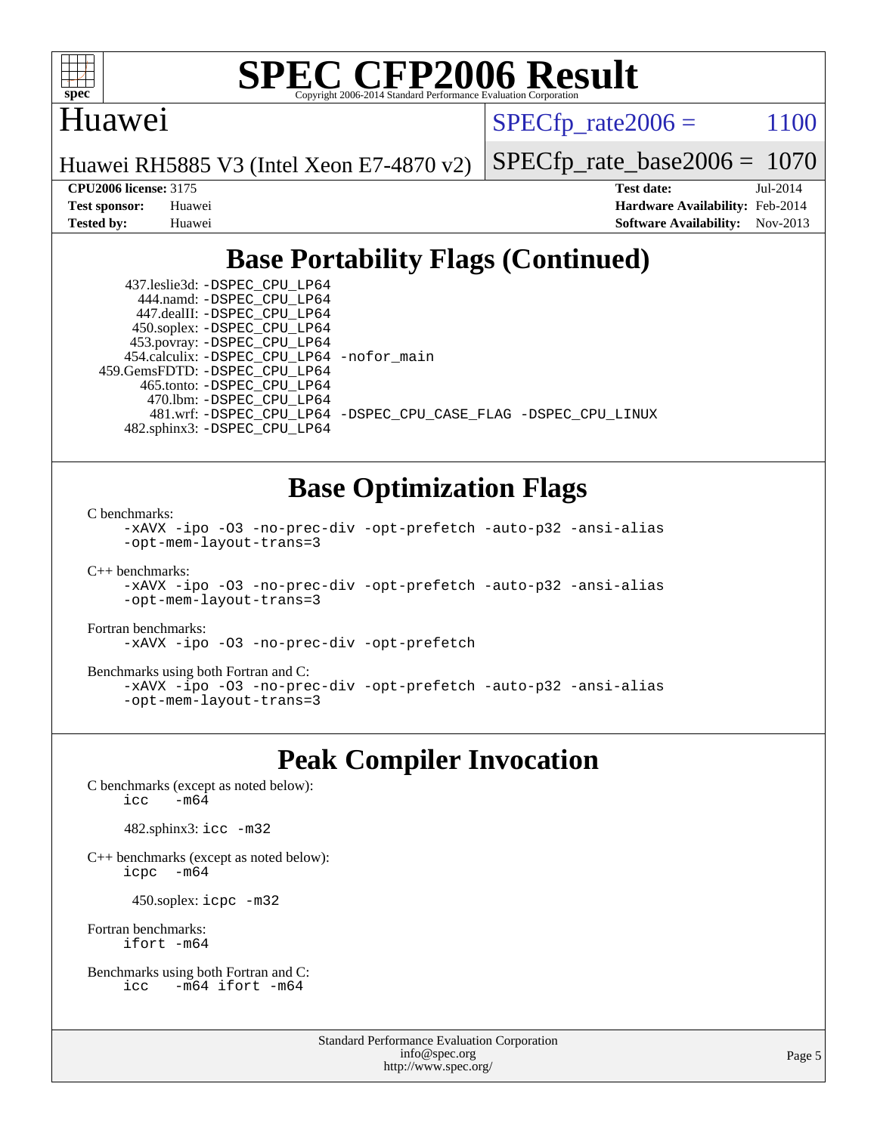

#### Huawei

 $SPECTp\_rate2006 = 1100$ 

Huawei RH5885 V3 (Intel Xeon E7-4870 v2)

[SPECfp\\_rate\\_base2006 =](http://www.spec.org/auto/cpu2006/Docs/result-fields.html#SPECfpratebase2006) 1070

**[CPU2006 license:](http://www.spec.org/auto/cpu2006/Docs/result-fields.html#CPU2006license)** 3175 **[Test date:](http://www.spec.org/auto/cpu2006/Docs/result-fields.html#Testdate)** Jul-2014 **[Test sponsor:](http://www.spec.org/auto/cpu2006/Docs/result-fields.html#Testsponsor)** Huawei **[Hardware Availability:](http://www.spec.org/auto/cpu2006/Docs/result-fields.html#HardwareAvailability)** Feb-2014 **[Tested by:](http://www.spec.org/auto/cpu2006/Docs/result-fields.html#Testedby)** Huawei **[Software Availability:](http://www.spec.org/auto/cpu2006/Docs/result-fields.html#SoftwareAvailability)** Nov-2013

### **[Base Portability Flags \(Continued\)](http://www.spec.org/auto/cpu2006/Docs/result-fields.html#BasePortabilityFlags)**

 437.leslie3d: [-DSPEC\\_CPU\\_LP64](http://www.spec.org/cpu2006/results/res2014q3/cpu2006-20140710-30384.flags.html#suite_basePORTABILITY437_leslie3d_DSPEC_CPU_LP64) 444.namd: [-DSPEC\\_CPU\\_LP64](http://www.spec.org/cpu2006/results/res2014q3/cpu2006-20140710-30384.flags.html#suite_basePORTABILITY444_namd_DSPEC_CPU_LP64) 447.dealII: [-DSPEC\\_CPU\\_LP64](http://www.spec.org/cpu2006/results/res2014q3/cpu2006-20140710-30384.flags.html#suite_basePORTABILITY447_dealII_DSPEC_CPU_LP64) 450.soplex: [-DSPEC\\_CPU\\_LP64](http://www.spec.org/cpu2006/results/res2014q3/cpu2006-20140710-30384.flags.html#suite_basePORTABILITY450_soplex_DSPEC_CPU_LP64) 453.povray: [-DSPEC\\_CPU\\_LP64](http://www.spec.org/cpu2006/results/res2014q3/cpu2006-20140710-30384.flags.html#suite_basePORTABILITY453_povray_DSPEC_CPU_LP64) 454.calculix: [-DSPEC\\_CPU\\_LP64](http://www.spec.org/cpu2006/results/res2014q3/cpu2006-20140710-30384.flags.html#suite_basePORTABILITY454_calculix_DSPEC_CPU_LP64) [-nofor\\_main](http://www.spec.org/cpu2006/results/res2014q3/cpu2006-20140710-30384.flags.html#user_baseLDPORTABILITY454_calculix_f-nofor_main) 459.GemsFDTD: [-DSPEC\\_CPU\\_LP64](http://www.spec.org/cpu2006/results/res2014q3/cpu2006-20140710-30384.flags.html#suite_basePORTABILITY459_GemsFDTD_DSPEC_CPU_LP64) 465.tonto: [-DSPEC\\_CPU\\_LP64](http://www.spec.org/cpu2006/results/res2014q3/cpu2006-20140710-30384.flags.html#suite_basePORTABILITY465_tonto_DSPEC_CPU_LP64) 470.lbm: [-DSPEC\\_CPU\\_LP64](http://www.spec.org/cpu2006/results/res2014q3/cpu2006-20140710-30384.flags.html#suite_basePORTABILITY470_lbm_DSPEC_CPU_LP64) 482.sphinx3: [-DSPEC\\_CPU\\_LP64](http://www.spec.org/cpu2006/results/res2014q3/cpu2006-20140710-30384.flags.html#suite_basePORTABILITY482_sphinx3_DSPEC_CPU_LP64)

481.wrf: [-DSPEC\\_CPU\\_LP64](http://www.spec.org/cpu2006/results/res2014q3/cpu2006-20140710-30384.flags.html#suite_basePORTABILITY481_wrf_DSPEC_CPU_LP64) [-DSPEC\\_CPU\\_CASE\\_FLAG](http://www.spec.org/cpu2006/results/res2014q3/cpu2006-20140710-30384.flags.html#b481.wrf_baseCPORTABILITY_DSPEC_CPU_CASE_FLAG) [-DSPEC\\_CPU\\_LINUX](http://www.spec.org/cpu2006/results/res2014q3/cpu2006-20140710-30384.flags.html#b481.wrf_baseCPORTABILITY_DSPEC_CPU_LINUX)

#### **[Base Optimization Flags](http://www.spec.org/auto/cpu2006/Docs/result-fields.html#BaseOptimizationFlags)**

[C benchmarks](http://www.spec.org/auto/cpu2006/Docs/result-fields.html#Cbenchmarks):

[-xAVX](http://www.spec.org/cpu2006/results/res2014q3/cpu2006-20140710-30384.flags.html#user_CCbase_f-xAVX) [-ipo](http://www.spec.org/cpu2006/results/res2014q3/cpu2006-20140710-30384.flags.html#user_CCbase_f-ipo) [-O3](http://www.spec.org/cpu2006/results/res2014q3/cpu2006-20140710-30384.flags.html#user_CCbase_f-O3) [-no-prec-div](http://www.spec.org/cpu2006/results/res2014q3/cpu2006-20140710-30384.flags.html#user_CCbase_f-no-prec-div) [-opt-prefetch](http://www.spec.org/cpu2006/results/res2014q3/cpu2006-20140710-30384.flags.html#user_CCbase_f-opt-prefetch) [-auto-p32](http://www.spec.org/cpu2006/results/res2014q3/cpu2006-20140710-30384.flags.html#user_CCbase_f-auto-p32) [-ansi-alias](http://www.spec.org/cpu2006/results/res2014q3/cpu2006-20140710-30384.flags.html#user_CCbase_f-ansi-alias) [-opt-mem-layout-trans=3](http://www.spec.org/cpu2006/results/res2014q3/cpu2006-20140710-30384.flags.html#user_CCbase_f-opt-mem-layout-trans_a7b82ad4bd7abf52556d4961a2ae94d5)

[C++ benchmarks:](http://www.spec.org/auto/cpu2006/Docs/result-fields.html#CXXbenchmarks)

```
-xAVX -ipo -O3 -no-prec-div -opt-prefetch -auto-p32 -ansi-alias
-opt-mem-layout-trans=3
```
[Fortran benchmarks](http://www.spec.org/auto/cpu2006/Docs/result-fields.html#Fortranbenchmarks):

[-xAVX](http://www.spec.org/cpu2006/results/res2014q3/cpu2006-20140710-30384.flags.html#user_FCbase_f-xAVX) [-ipo](http://www.spec.org/cpu2006/results/res2014q3/cpu2006-20140710-30384.flags.html#user_FCbase_f-ipo) [-O3](http://www.spec.org/cpu2006/results/res2014q3/cpu2006-20140710-30384.flags.html#user_FCbase_f-O3) [-no-prec-div](http://www.spec.org/cpu2006/results/res2014q3/cpu2006-20140710-30384.flags.html#user_FCbase_f-no-prec-div) [-opt-prefetch](http://www.spec.org/cpu2006/results/res2014q3/cpu2006-20140710-30384.flags.html#user_FCbase_f-opt-prefetch)

[Benchmarks using both Fortran and C](http://www.spec.org/auto/cpu2006/Docs/result-fields.html#BenchmarksusingbothFortranandC):

```
-xAVX -ipo -O3 -no-prec-div -opt-prefetch -auto-p32 -ansi-alias
-opt-mem-layout-trans=3
```
#### **[Peak Compiler Invocation](http://www.spec.org/auto/cpu2006/Docs/result-fields.html#PeakCompilerInvocation)**

[C benchmarks \(except as noted below\)](http://www.spec.org/auto/cpu2006/Docs/result-fields.html#Cbenchmarksexceptasnotedbelow): icc  $-m64$ 

482.sphinx3: [icc -m32](http://www.spec.org/cpu2006/results/res2014q3/cpu2006-20140710-30384.flags.html#user_peakCCLD482_sphinx3_intel_icc_a6a621f8d50482236b970c6ac5f55f93)

[C++ benchmarks \(except as noted below\):](http://www.spec.org/auto/cpu2006/Docs/result-fields.html#CXXbenchmarksexceptasnotedbelow) [icpc -m64](http://www.spec.org/cpu2006/results/res2014q3/cpu2006-20140710-30384.flags.html#user_CXXpeak_intel_icpc_64bit_bedb90c1146cab66620883ef4f41a67e)

450.soplex: [icpc -m32](http://www.spec.org/cpu2006/results/res2014q3/cpu2006-20140710-30384.flags.html#user_peakCXXLD450_soplex_intel_icpc_4e5a5ef1a53fd332b3c49e69c3330699)

[Fortran benchmarks](http://www.spec.org/auto/cpu2006/Docs/result-fields.html#Fortranbenchmarks): [ifort -m64](http://www.spec.org/cpu2006/results/res2014q3/cpu2006-20140710-30384.flags.html#user_FCpeak_intel_ifort_64bit_ee9d0fb25645d0210d97eb0527dcc06e)

[Benchmarks using both Fortran and C](http://www.spec.org/auto/cpu2006/Docs/result-fields.html#BenchmarksusingbothFortranandC): [icc -m64](http://www.spec.org/cpu2006/results/res2014q3/cpu2006-20140710-30384.flags.html#user_CC_FCpeak_intel_icc_64bit_0b7121f5ab7cfabee23d88897260401c) [ifort -m64](http://www.spec.org/cpu2006/results/res2014q3/cpu2006-20140710-30384.flags.html#user_CC_FCpeak_intel_ifort_64bit_ee9d0fb25645d0210d97eb0527dcc06e)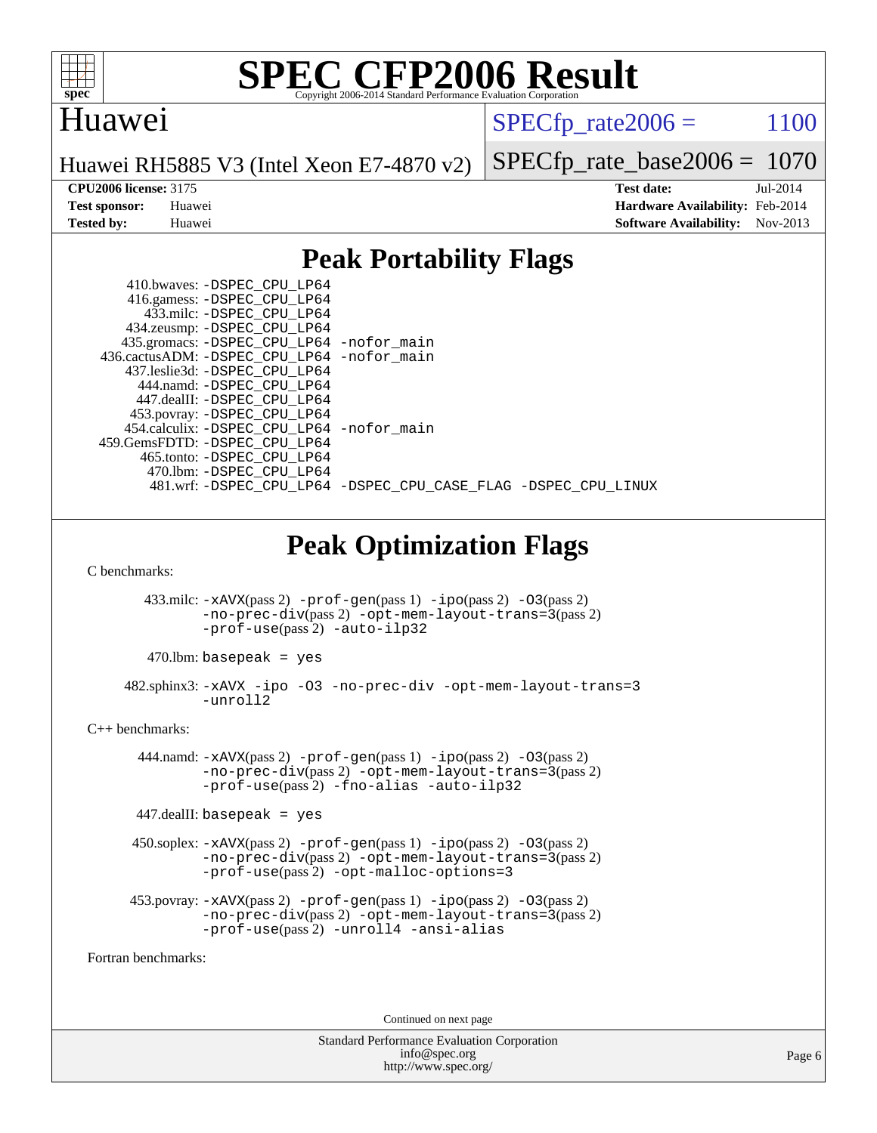

### Huawei

 $SPECfp_rate2006 = 1100$  $SPECfp_rate2006 = 1100$ 

Huawei RH5885 V3 (Intel Xeon E7-4870 v2)

[SPECfp\\_rate\\_base2006 =](http://www.spec.org/auto/cpu2006/Docs/result-fields.html#SPECfpratebase2006) 1070

**[CPU2006 license:](http://www.spec.org/auto/cpu2006/Docs/result-fields.html#CPU2006license)** 3175 **[Test date:](http://www.spec.org/auto/cpu2006/Docs/result-fields.html#Testdate)** Jul-2014 **[Test sponsor:](http://www.spec.org/auto/cpu2006/Docs/result-fields.html#Testsponsor)** Huawei **[Hardware Availability:](http://www.spec.org/auto/cpu2006/Docs/result-fields.html#HardwareAvailability)** Feb-2014 **[Tested by:](http://www.spec.org/auto/cpu2006/Docs/result-fields.html#Testedby)** Huawei **[Software Availability:](http://www.spec.org/auto/cpu2006/Docs/result-fields.html#SoftwareAvailability)** Nov-2013

### **[Peak Portability Flags](http://www.spec.org/auto/cpu2006/Docs/result-fields.html#PeakPortabilityFlags)**

|                      | 410.bwaves: –DSPEC CPU LP64<br>416.gamess: -DSPEC_CPU_LP64<br>433.milc: -DSPEC CPU LP64<br>434.zeusmp: - DSPEC_CPU_LP64<br>435.gromacs: -DSPEC_CPU_LP64 -nofor_main<br>436.cactusADM: -DSPEC_CPU_LP64 -nofor_main<br>437.leslie3d: -DSPEC_CPU_LP64<br>444.namd: - DSPEC_CPU_LP64<br>447.dealII: -DSPEC_CPU_LP64<br>453.povray: -DSPEC_CPU_LP64<br>454.calculix: -DSPEC_CPU_LP64 -nofor_main<br>459.GemsFDTD: - DSPEC_CPU_LP64<br>465.tonto: - DSPEC_CPU_LP64<br>470.1bm: -DSPEC CPU LP64<br>481.wrf: -DSPEC_CPU_LP64 -DSPEC_CPU_CASE_FLAG -DSPEC_CPU_LINUX |
|----------------------|------------------------------------------------------------------------------------------------------------------------------------------------------------------------------------------------------------------------------------------------------------------------------------------------------------------------------------------------------------------------------------------------------------------------------------------------------------------------------------------------------------------------------------------------------------|
|                      | <b>Peak Optimization Flags</b>                                                                                                                                                                                                                                                                                                                                                                                                                                                                                                                             |
| C benchmarks:        |                                                                                                                                                                                                                                                                                                                                                                                                                                                                                                                                                            |
|                      | $433 \text{.}$ milc: $-xAVX(pass 2)$ -prof-gen(pass 1) -ipo(pass 2) -03(pass 2)<br>$-no\text{-prec-div}(pass 2) - opt-mem-layer-trans=3 (pass 2)$<br>-prof-use(pass 2) -auto-ilp32                                                                                                                                                                                                                                                                                                                                                                         |
|                      | $470$ .lbm: basepeak = yes                                                                                                                                                                                                                                                                                                                                                                                                                                                                                                                                 |
|                      | 482.sphinx3: -xAVX -ipo -03 -no-prec-div -opt-mem-layout-trans=3<br>-unroll2                                                                                                                                                                                                                                                                                                                                                                                                                                                                               |
| $C_{++}$ benchmarks: |                                                                                                                                                                                                                                                                                                                                                                                                                                                                                                                                                            |
|                      | $444$ .namd: $-xAUX(pass 2)$ -prof-gen(pass 1) -ipo(pass 2) -03(pass 2)<br>-no-prec-div(pass 2) -opt-mem-layout-trans=3(pass 2)<br>-prof-use(pass2) -fno-alias -auto-ilp32                                                                                                                                                                                                                                                                                                                                                                                 |
|                      | $447$ .dealII: basepeak = yes                                                                                                                                                                                                                                                                                                                                                                                                                                                                                                                              |
|                      | $450$ .soplex: $-x$ AVX(pass 2) $-p$ rof-gen(pass 1) $-i$ po(pass 2) $-03$ (pass 2)<br>-no-prec-div(pass 2) -opt-mem-layout-trans=3(pass 2)<br>$-prof-use(pass 2) - opt-malloc-optims=3$                                                                                                                                                                                                                                                                                                                                                                   |
|                      | $453.$ povray: $-xAVX(pass 2)$ -prof-gen(pass 1) -ipo(pass 2) -03(pass 2)<br>-no-prec-div(pass 2) -opt-mem-layout-trans=3(pass 2)<br>-prof-use(pass 2) -unroll4 -ansi-alias                                                                                                                                                                                                                                                                                                                                                                                |
| Fortran benchmarks:  |                                                                                                                                                                                                                                                                                                                                                                                                                                                                                                                                                            |

Continued on next page